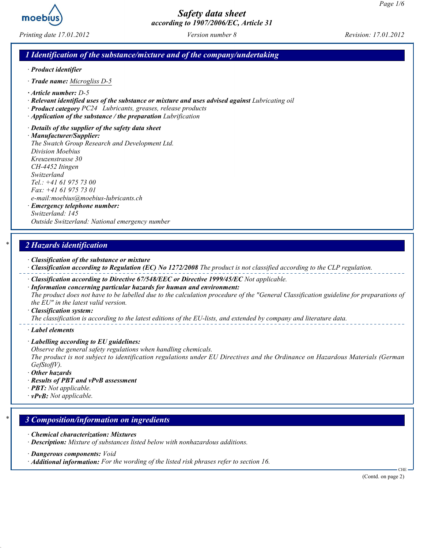

Printing date 17.01.2012 Version number 8 Revision: 17.01.2012

#### 1 Identification of the substance/mixture and of the company/undertaking

- · Product identifier
- · Trade name: Microgliss D-5
- · Article number: D-5
- · Relevant identified uses of the substance or mixture and uses advised against Lubricating oil
- · Product category PC24 Lubricants, greases, release products
- · Application of the substance / the preparation Lubrification
- · Details of the supplier of the safety data sheet

· Manufacturer/Supplier: The Swatch Group Research and Development Ltd. Division Moebius Kreuzenstrasse 30 CH-4452 Itingen Switzerland Tel.: +41 61 975 73 00 Fax: +41 61 975 73 01 e-mail:moebius@moebius-lubricants.ch · Emergency telephone number: Switzerland: 145

Outside Switzerland: National emergency number

#### 2 Hazards identification

- · Classification of the substance or mixture
- · Classification according to Regulation (EC) No 1272/2008 The product is not classified according to the CLP regulation.
- · Classification according to Directive 67/548/EEC or Directive 1999/45/EC Not applicable.
- · Information concerning particular hazards for human and environment: The product does not have to be labelled due to the calculation procedure of the "General Classification guideline for preparations of the EU" in the latest valid version.
- · Classification system:

The classification is according to the latest editions of the EU-lists, and extended by company and literature data.

· Label elements

- · Labelling according to EU guidelines:
- Observe the general safety regulations when handling chemicals.

The product is not subject to identification regulations under EU Directives and the Ordinance on Hazardous Materials (German GefStoffV).

- · Other hazards
- · Results of PBT and vPvB assessment
- · PBT: Not applicable.
- $\cdot$  vPvB: Not applicable.

#### 3 Composition/information on ingredients

- · Chemical characterization: Mixtures
- · Description: Mixture of substances listed below with nonhazardous additions.
- · Dangerous components: Void
- · Additional information: For the wording of the listed risk phrases refer to section 16.

(Contd. on page 2)

CHE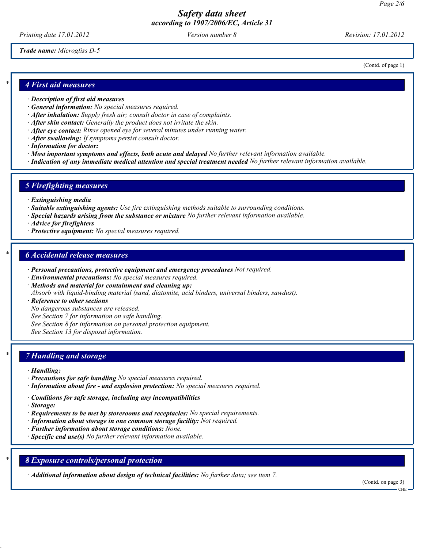Printing date 17.01.2012 Version number 8 Revision: 17.01.2012

(Contd. of page 1)

Trade name: Microgliss D-5

4 First aid measures

- · Description of first aid measures
- · General information: No special measures required.
- · After inhalation: Supply fresh air; consult doctor in case of complaints.
- $\cdot$  After skin contact: Generally the product does not irritate the skin.
- $\cdot$  **After eye contact:** Rinse opened eye for several minutes under running water.
- · After swallowing: If symptoms persist consult doctor.
- · Information for doctor:
- · Most important symptoms and effects, both acute and delayed No further relevant information available.
- · Indication of any immediate medical attention and special treatment needed No further relevant information available.

#### 5 Firefighting measures

- · Extinguishing media
- · Suitable extinguishing agents: Use fire extinguishing methods suitable to surrounding conditions.
- · Special hazards arising from the substance or mixture No further relevant information available.
- · Advice for firefighters
- · Protective equipment: No special measures required.

#### **6 Accidental release measures**

- · Personal precautions, protective equipment and emergency procedures Not required.
- · Environmental precautions: No special measures required.
- · Methods and material for containment and cleaning up:
- Absorb with liquid-binding material (sand, diatomite, acid binders, universal binders, sawdust).
- · Reference to other sections

No dangerous substances are released.

See Section 7 for information on safe handling.

See Section 8 for information on personal protection equipment.

See Section 13 for disposal information.

### 7 Handling and storage

- · Handling:
- · Precautions for safe handling No special measures required.
- · Information about fire and explosion protection: No special measures required.
- · Conditions for safe storage, including any incompatibilities
- · Storage:
- · Requirements to be met by storerooms and receptacles: No special requirements.
- · Information about storage in one common storage facility: Not required.
- · Further information about storage conditions: None.
- · Specific end use(s) No further relevant information available.

## 8 Exposure controls/personal protection

· Additional information about design of technical facilities: No further data; see item 7.

(Contd. on page 3)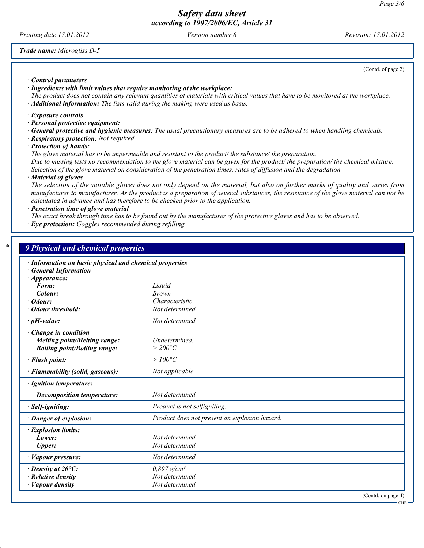Printing date 17.01.2012 Version number 8 Revision: 17.01.2012

Trade name: Microgliss D-5

(Contd. of page 2)

|  |  | $\cdot$ Control parameters |
|--|--|----------------------------|
|--|--|----------------------------|

- · Ingredients with limit values that require monitoring at the workplace:
- The product does not contain any relevant quantities of materials with critical values that have to be monitored at the workplace.  $\cdot$  **Additional information:** The lists valid during the making were used as basis.
- · Exposure controls
- · Personal protective equipment:
- · General protective and hygienic measures: The usual precautionary measures are to be adhered to when handling chemicals.
- · Respiratory protection: Not required.
- · Protection of hands:

The glove material has to be impermeable and resistant to the product/ the substance/ the preparation.

Due to missing tests no recommendation to the glove material can be given for the product/ the preparation/ the chemical mixture. Selection of the glove material on consideration of the penetration times, rates of diffusion and the degradation

· Material of gloves

The selection of the suitable gloves does not only depend on the material, but also on further marks of quality and varies from manufacturer to manufacturer. As the product is a preparation of several substances, the resistance of the glove material can not be calculated in advance and has therefore to be checked prior to the application.

· Penetration time of glove material

The exact break through time has to be found out by the manufacturer of the protective gloves and has to be observed.

· Eye protection: Goggles recommended during refilling

| Liquid<br><b>Brown</b><br>Characteristic<br>Not determined.<br>Not determined. |
|--------------------------------------------------------------------------------|
|                                                                                |
|                                                                                |
|                                                                                |
|                                                                                |
|                                                                                |
|                                                                                |
|                                                                                |
|                                                                                |
| Undetermined.                                                                  |
| $>$ $200^{\rm o}C$                                                             |
| $>100^{\circ}C$                                                                |
| Not applicable.                                                                |
|                                                                                |
| Not determined.                                                                |
| Product is not selfigniting.                                                   |
| Product does not present an explosion hazard.                                  |
|                                                                                |
| Not determined.                                                                |
| Not determined.                                                                |
| Not determined.                                                                |
| $0,897$ g/cm <sup>3</sup>                                                      |
| Not determined.                                                                |
| Not determined.                                                                |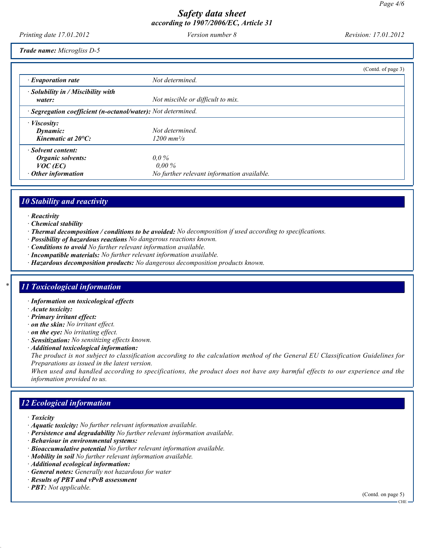Printing date 17.01.2012 Version number 8 Revision: 17.01.2012

Trade name: Microgliss D-5

|                                                                                           |                                                                   | (Contd. of page 3) |
|-------------------------------------------------------------------------------------------|-------------------------------------------------------------------|--------------------|
| $\cdot$ Evaporation rate                                                                  | Not determined.                                                   |                    |
| $\cdot$ Solubility in / Miscibility with<br>water:                                        | Not miscible or difficult to mix.                                 |                    |
| · Segregation coefficient (n-octanol/water): Not determined.                              |                                                                   |                    |
| $\cdot$ <i>Viscosity:</i><br>Dynamic:<br>Kinematic at $20^{\circ}$ C:                     | Not determined.<br>$1200 \, \text{mm}^2/\text{s}$                 |                    |
| · Solvent content:<br><b>Organic solvents:</b><br>$VOC$ (EC)<br>$\cdot$ Other information | $0.0\%$<br>$0.00\%$<br>No further relevant information available. |                    |

## 10 Stability and reactivity

- · Reactivity
- · Chemical stability
- · Thermal decomposition / conditions to be avoided: No decomposition if used according to specifications.
- · Possibility of hazardous reactions No dangerous reactions known.
- · Conditions to avoid No further relevant information available.
- · Incompatible materials: No further relevant information available.
- · Hazardous decomposition products: No dangerous decomposition products known.

### 11 Toxicological information

- · Information on toxicological effects
- · Acute toxicity:
- · Primary irritant effect:
- · on the skin: No irritant effect.
- $\cdot$  on the eye: No irritating effect.
- · Sensitization: No sensitizing effects known.
- · Additional toxicological information:

The product is not subject to classification according to the calculation method of the General EU Classification Guidelines for Preparations as issued in the latest version.

When used and handled according to specifications, the product does not have any harmful effects to our experience and the information provided to us.

### 12 Ecological information

- · Toxicity
- · Aquatic toxicity: No further relevant information available.
- · Persistence and degradability No further relevant information available.
- · Behaviour in environmental systems:
- · Bioaccumulative potential No further relevant information available.
- $\cdot$  Mobility in soil  $\bar{No}$  further relevant information available.
- · Additional ecological information:
- · General notes: Generally not hazardous for water
- · Results of PBT and vPvB assessment
- $\cdot$  **PBT:** Not applicable.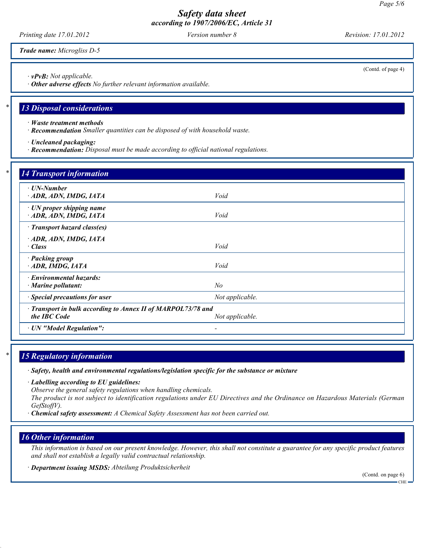Printing date 17.01.2012 Version number 8 Revision: 17.01.2012

Trade name: Microgliss D-5

· vPvB: Not applicable.

· Other adverse effects No further relevant information available.

#### 13 Disposal considerations

- · Waste treatment methods
- · Recommendation Smaller quantities can be disposed of with household waste.
- · Uncleaned packaging:
- · Recommendation: Disposal must be made according to official national regulations.

| ⋅ UN-Number                                                  |                 |  |
|--------------------------------------------------------------|-----------------|--|
| ADR, ADN, IMDG, IATA                                         | Void            |  |
|                                                              |                 |  |
| · UN proper shipping name                                    |                 |  |
| ADR, ADN, IMDG, IATA                                         | Void            |  |
| · Transport hazard class(es)                                 |                 |  |
| ADR, ADN, IMDG, IATA                                         |                 |  |
| · Class                                                      | Void            |  |
| · Packing group                                              |                 |  |
| ADR, IMDG, IATA                                              | Void            |  |
| · Environmental hazards:                                     |                 |  |
| $\cdot$ Marine pollutant:                                    | No              |  |
| · Special precautions for user                               | Not applicable. |  |
| · Transport in bulk according to Annex II of MARPOL73/78 and |                 |  |
| the IBC Code                                                 | Not applicable. |  |

## 15 Regulatory information

· Safety, health and environmental regulations/legislation specific for the substance or mixture

· Labelling according to EU guidelines:

Observe the general safety regulations when handling chemicals.

The product is not subject to identification regulations under EU Directives and the Ordinance on Hazardous Materials (German GefStoffV).

· Chemical safety assessment: A Chemical Safety Assessment has not been carried out.

### 16 Other information

This information is based on our present knowledge. However, this shall not constitute a guarantee for any specific product features and shall not establish a legally valid contractual relationship.

· Department issuing MSDS: Abteilung Produktsicherheit

(Contd. on page 6)

CHE

(Contd. of page 4)